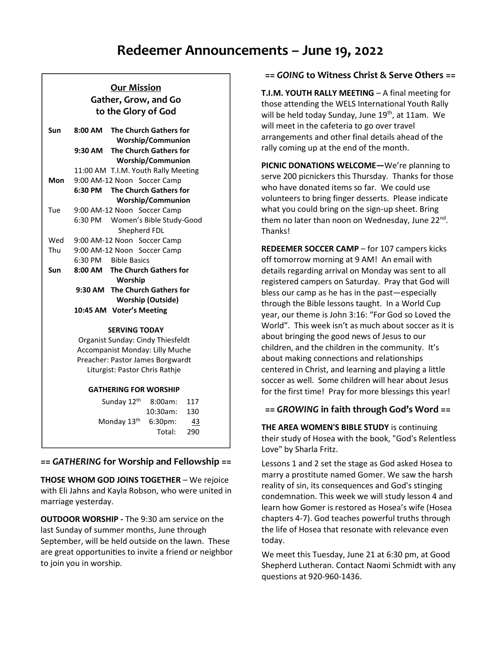# **Redeemer Announcements – June 19, 2022**

# **Our Mission Gather, Grow, and Go to the Glory of God**

| Sun                                       | <b>The Church Gathers for</b><br>$8:00 \text{ AM}$<br><b>Worship/Communion</b> |  |  |
|-------------------------------------------|--------------------------------------------------------------------------------|--|--|
|                                           | <b>The Church Gathers for</b><br>9:30 AM                                       |  |  |
|                                           | <b>Worship/Communion</b>                                                       |  |  |
|                                           | 11:00 AM T.I.M. Youth Rally Meeting                                            |  |  |
| Mon                                       | 9:00 AM-12 Noon Soccer Camp                                                    |  |  |
|                                           | <b>The Church Gathers for</b><br>6:30 PM                                       |  |  |
|                                           | <b>Worship/Communion</b>                                                       |  |  |
| Tue                                       | 9:00 AM-12 Noon Soccer Camp                                                    |  |  |
|                                           | 6:30 PM<br>Women's Bible Study-Good                                            |  |  |
|                                           | Shepherd FDL                                                                   |  |  |
| Wed                                       | 9:00 AM-12 Noon Soccer Camp                                                    |  |  |
| Thu                                       | 9:00 AM-12 Noon Soccer Camp                                                    |  |  |
|                                           | 6:30 PM<br><b>Bible Basics</b>                                                 |  |  |
| Sun                                       | 8:00 AM The Church Gathers for                                                 |  |  |
| Worship<br>9:30 AM The Church Gathers for |                                                                                |  |  |
|                                           |                                                                                |  |  |
|                                           | 10:45 AM Voter's Meeting                                                       |  |  |

#### **SERVING TODAY**

Organist Sunday: Cindy Thiesfeldt Accompanist Monday: Lilly Muche Preacher: Pastor James Borgwardt Liturgist: Pastor Chris Rathje

#### **GATHERING FOR WORSHIP**

| Sunday 12th 8:00am: 117 |              |           |
|-------------------------|--------------|-----------|
|                         | 10:30am: 130 |           |
| Monday $13th$ 6:30pm:   |              | <u>43</u> |
|                         | Total: 290   |           |

## **==** *GATHERING* **for Worship and Fellowship ==**

**THOSE WHOM GOD JOINS TOGETHER** – We rejoice with Eli Jahns and Kayla Robson, who were united in marriage yesterday.

**OUTDOOR WORSHIP -** The 9:30 am service on the last Sunday of summer months, June through September, will be held outside on the lawn. These are great opportunities to invite a friend or neighbor to join you in worship.

## **==** *GOING* **to Witness Christ & Serve Others ==**

**T.I.M. YOUTH RALLY MEETING** – A final meeting for those attending the WELS International Youth Rally will be held today Sunday, June 19<sup>th</sup>, at 11am. We will meet in the cafeteria to go over travel arrangements and other final details ahead of the rally coming up at the end of the month.

**PICNIC DONATIONS WELCOME—**We're planning to serve 200 picnickers this Thursday. Thanks for those who have donated items so far. We could use volunteers to bring finger desserts. Please indicate what you could bring on the sign-up sheet. Bring them no later than noon on Wednesday, June 22<sup>nd</sup>. Thanks!

**REDEEMER SOCCER CAMP** – for 107 campers kicks off tomorrow morning at 9 AM! An email with details regarding arrival on Monday was sent to all registered campers on Saturday. Pray that God will bless our camp as he has in the past—especially through the Bible lessons taught. In a World Cup year, our theme is John 3:16: "For God so Loved the World". This week isn't as much about soccer as it is about bringing the good news of Jesus to our children, and the children in the community. It's about making connections and relationships centered in Christ, and learning and playing a little soccer as well. Some children will hear about Jesus for the first time! Pray for more blessings this year!

## **==** *GROWING* **in faith through God's Word ==**

**THE AREA WOMEN'S BIBLE STUDY** is continuing their study of Hosea with the book, "God's Relentless Love" by Sharla Fritz.

Lessons 1 and 2 set the stage as God asked Hosea to marry a prostitute named Gomer. We saw the harsh reality of sin, its consequences and God's stinging condemnation. This week we will study lesson 4 and learn how Gomer is restored as Hosea's wife (Hosea chapters 4-7). God teaches powerful truths through the life of Hosea that resonate with relevance even today.

We meet this Tuesday, June 21 at 6:30 pm, at Good Shepherd Lutheran. Contact Naomi Schmidt with any questions at 920-960-1436.